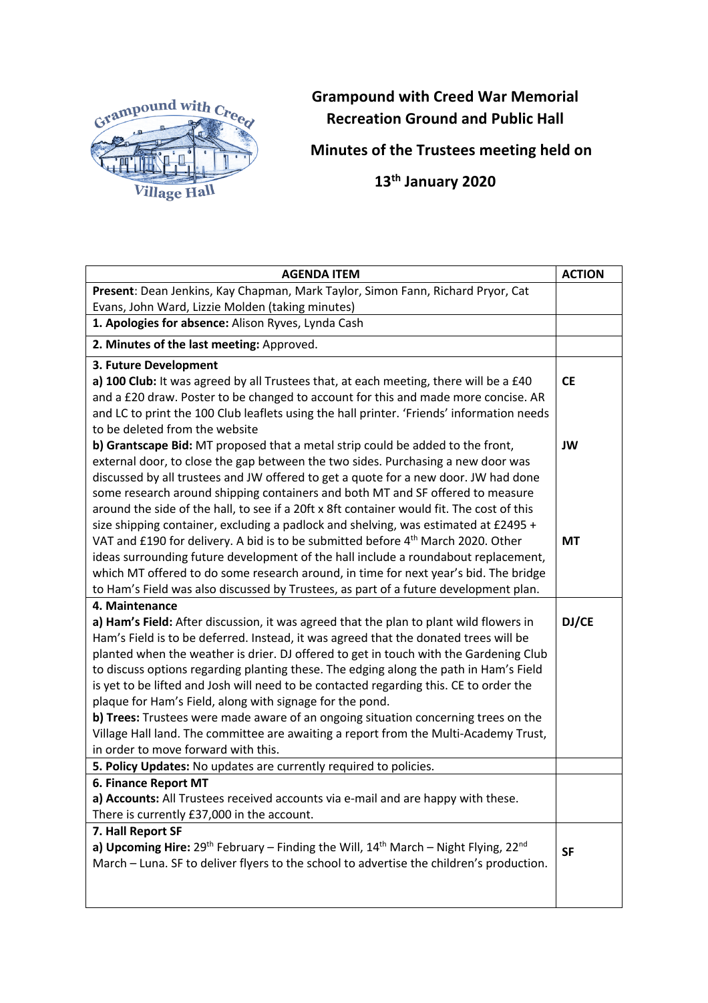

## **Grampound with Creed War Memorial Recreation Ground and Public Hall**

**Minutes of the Trustees meeting held on**

 **13th January 2020**

| <b>AGENDA ITEM</b>                                                                                                          | <b>ACTION</b> |
|-----------------------------------------------------------------------------------------------------------------------------|---------------|
| Present: Dean Jenkins, Kay Chapman, Mark Taylor, Simon Fann, Richard Pryor, Cat                                             |               |
| Evans, John Ward, Lizzie Molden (taking minutes)                                                                            |               |
| 1. Apologies for absence: Alison Ryves, Lynda Cash                                                                          |               |
| 2. Minutes of the last meeting: Approved.                                                                                   |               |
| 3. Future Development                                                                                                       |               |
| a) 100 Club: It was agreed by all Trustees that, at each meeting, there will be a £40                                       | <b>CE</b>     |
| and a £20 draw. Poster to be changed to account for this and made more concise. AR                                          |               |
| and LC to print the 100 Club leaflets using the hall printer. 'Friends' information needs                                   |               |
| to be deleted from the website                                                                                              |               |
| b) Grantscape Bid: MT proposed that a metal strip could be added to the front,                                              | JW            |
| external door, to close the gap between the two sides. Purchasing a new door was                                            |               |
| discussed by all trustees and JW offered to get a quote for a new door. JW had done                                         |               |
| some research around shipping containers and both MT and SF offered to measure                                              |               |
| around the side of the hall, to see if a 20ft x 8ft container would fit. The cost of this                                   |               |
| size shipping container, excluding a padlock and shelving, was estimated at £2495 +                                         |               |
| VAT and £190 for delivery. A bid is to be submitted before 4 <sup>th</sup> March 2020. Other                                | <b>MT</b>     |
| ideas surrounding future development of the hall include a roundabout replacement,                                          |               |
| which MT offered to do some research around, in time for next year's bid. The bridge                                        |               |
| to Ham's Field was also discussed by Trustees, as part of a future development plan.                                        |               |
| 4. Maintenance                                                                                                              |               |
| a) Ham's Field: After discussion, it was agreed that the plan to plant wild flowers in                                      | DJ/CE         |
| Ham's Field is to be deferred. Instead, it was agreed that the donated trees will be                                        |               |
| planted when the weather is drier. DJ offered to get in touch with the Gardening Club                                       |               |
| to discuss options regarding planting these. The edging along the path in Ham's Field                                       |               |
| is yet to be lifted and Josh will need to be contacted regarding this. CE to order the                                      |               |
| plaque for Ham's Field, along with signage for the pond.                                                                    |               |
| b) Trees: Trustees were made aware of an ongoing situation concerning trees on the                                          |               |
| Village Hall land. The committee are awaiting a report from the Multi-Academy Trust,<br>in order to move forward with this. |               |
| 5. Policy Updates: No updates are currently required to policies.                                                           |               |
| 6. Finance Report MT                                                                                                        |               |
| a) Accounts: All Trustees received accounts via e-mail and are happy with these.                                            |               |
| There is currently £37,000 in the account.                                                                                  |               |
| 7. Hall Report SF                                                                                                           |               |
| a) Upcoming Hire: $29^{th}$ February – Finding the Will, $14^{th}$ March – Night Flying, $22^{nd}$                          |               |
| March - Luna. SF to deliver flyers to the school to advertise the children's production.                                    | <b>SF</b>     |
|                                                                                                                             |               |
|                                                                                                                             |               |